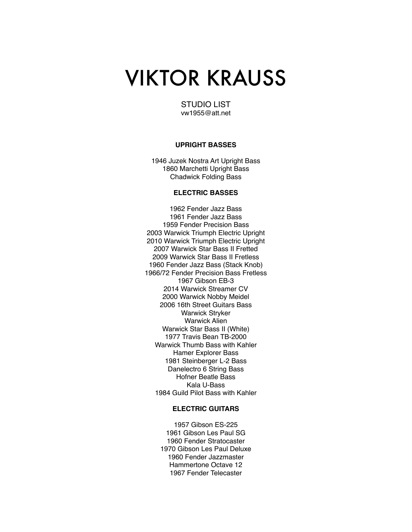# VIKTOR KRAUSS

STUDIO LIST vw1955@att.net

## **UPRIGHT BASSES**

1946 Juzek Nostra Art Upright Bass 1860 Marchetti Upright Bass Chadwick Folding Bass

# **ELECTRIC BASSES**

1962 Fender Jazz Bass 1961 Fender Jazz Bass 1959 Fender Precision Bass 2003 Warwick Triumph Electric Upright 2010 Warwick Triumph Electric Upright 2007 Warwick Star Bass II Fretted 2009 Warwick Star Bass II Fretless 1960 Fender Jazz Bass (Stack Knob) 1966/72 Fender Precision Bass Fretless 1967 Gibson EB-3 2014 Warwick Streamer CV 2000 Warwick Nobby Meidel 2006 16th Street Guitars Bass Warwick Stryker Warwick Alien Warwick Star Bass II (White) 1977 Travis Bean TB-2000 Warwick Thumb Bass with Kahler Hamer Explorer Bass 1981 Steinberger L-2 Bass Danelectro 6 String Bass Hofner Beatle Bass Kala U-Bass 1984 Guild Pilot Bass with Kahler

## **ELECTRIC GUITARS**

1957 Gibson ES-225 1961 Gibson Les Paul SG 1960 Fender Stratocaster 1970 Gibson Les Paul Deluxe 1960 Fender Jazzmaster Hammertone Octave 12 1967 Fender Telecaster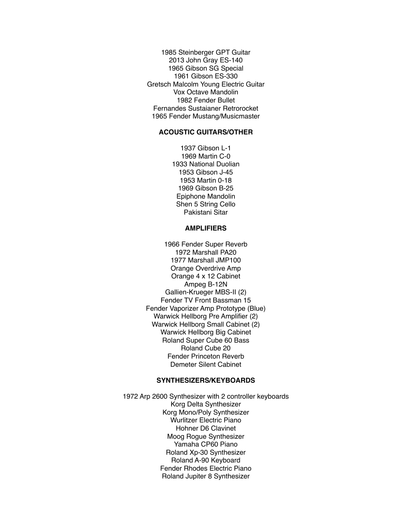1985 Steinberger GPT Guitar 2013 John Gray ES-140 1965 Gibson SG Special 1961 Gibson ES-330 Gretsch Malcolm Young Electric Guitar Vox Octave Mandolin 1982 Fender Bullet Fernandes Sustaianer Retrorocket 1965 Fender Mustang/Musicmaster

## **ACOUSTIC GUITARS/OTHER**

1937 Gibson L-1 1969 Martin C-0 1933 National Duolian 1953 Gibson J-45 1953 Martin 0-18 1969 Gibson B-25 Epiphone Mandolin Shen 5 String Cello Pakistani Sitar

#### **AMPLIFIERS**

1966 Fender Super Reverb 1972 Marshall PA20 1977 Marshall JMP100 Orange Overdrive Amp Orange 4 x 12 Cabinet Ampeg B-12N Gallien-Krueger MBS-II (2) Fender TV Front Bassman 15 Fender Vaporizer Amp Prototype (Blue) Warwick Hellborg Pre Amplifier (2) Warwick Hellborg Small Cabinet (2) Warwick Hellborg Big Cabinet Roland Super Cube 60 Bass Roland Cube 20 Fender Princeton Reverb Demeter Silent Cabinet

# **SYNTHESIZERS/KEYBOARDS**

1972 Arp 2600 Synthesizer with 2 controller keyboards Korg Delta Synthesizer Korg Mono/Poly Synthesizer Wurlitzer Electric Piano Hohner D6 Clavinet Moog Rogue Synthesizer Yamaha CP60 Piano Roland Xp-30 Synthesizer Roland A-90 Keyboard Fender Rhodes Electric Piano Roland Jupiter 8 Synthesizer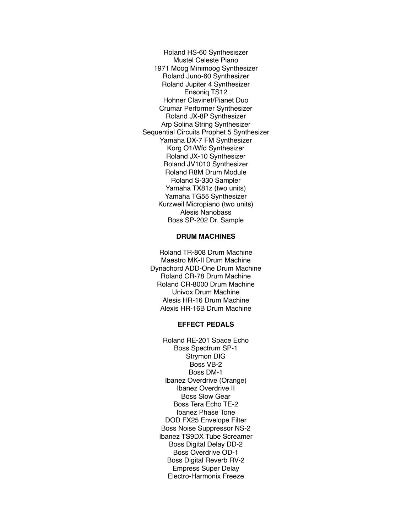Roland HS-60 Synthesiszer Mustel Celeste Piano 1971 Moog Minimoog Synthesizer Roland Juno-60 Synthesizer Roland Jupiter 4 Synthesizer Ensoniq TS12 Hohner Clavinet/Pianet Duo Crumar Performer Synthesizer Roland JX-8P Synthesizer Arp Solina String Synthesizer Sequential Circuits Prophet 5 Synthesizer Yamaha DX-7 FM Synthesizer Korg O1/Wfd Synthesizer Roland JX-10 Synthesizer Roland JV1010 Synthesizer Roland R8M Drum Module Roland S-330 Sampler Yamaha TX81z (two units) Yamaha TG55 Synthesizer Kurzweil Micropiano (two units) Alesis Nanobass Boss SP-202 Dr. Sample

# **DRUM MACHINES**

Roland TR-808 Drum Machine Maestro MK-II Drum Machine Dynachord ADD-One Drum Machine Roland CR-78 Drum Machine Roland CR-8000 Drum Machine Univox Drum Machine Alesis HR-16 Drum Machine Alexis HR-16B Drum Machine

#### **EFFECT PEDALS**

Roland RE-201 Space Echo Boss Spectrum SP-1 Strymon DIG Boss VB-2 Boss DM-1 Ibanez Overdrive (Orange) Ibanez Overdrive II Boss Slow Gear Boss Tera Echo TE-2 Ibanez Phase Tone DOD FX25 Envelope Filter Boss Noise Suppressor NS-2 Ibanez TS9DX Tube Screamer Boss Digital Delay DD-2 Boss Overdrive OD-1 Boss Digital Reverb RV-2 Empress Super Delay Electro-Harmonix Freeze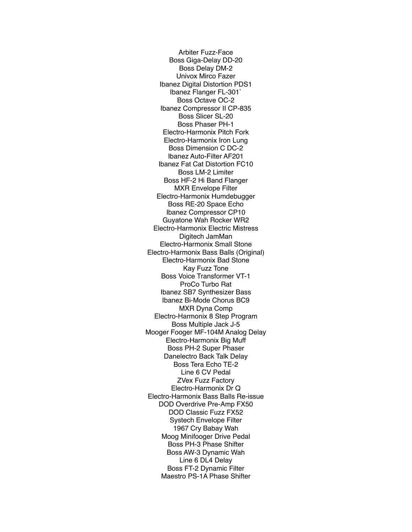Arbiter Fuzz-Face Boss Giga-Delay DD-20 Boss Delay DM-2 Univox Mirco Fazer Ibanez Digital Distortion PDS1 Ibanez Flanger FL-301` Boss Octave OC-2 Ibanez Compressor II CP-835 Boss Slicer SL-20 Boss Phaser PH-1 Electro-Harmonix Pitch Fork Electro-Harmonix Iron Lung Boss Dimension C DC-2 Ibanez Auto-Filter AF201 Ibanez Fat Cat Distortion FC10 Boss LM-2 Limiter Boss HF-2 Hi Band Flanger MXR Envelope Filter Electro-Harmonix Humdebugger Boss RE-20 Space Echo Ibanez Compressor CP10 Guyatone Wah Rocker WR2 Electro-Harmonix Electric Mistress Digitech JamMan Electro-Harmonix Small Stone Electro-Harmonix Bass Balls (Original) Electro-Harmonix Bad Stone Kay Fuzz Tone Boss Voice Transformer VT-1 ProCo Turbo Rat Ibanez SB7 Synthesizer Bass Ibanez Bi-Mode Chorus BC9 MXR Dyna Comp Electro-Harmonix 8 Step Program Boss Multiple Jack J-5 Mooger Fooger MF-104M Analog Delay Electro-Harmonix Big Muff Boss PH-2 Super Phaser Danelectro Back Talk Delay Boss Tera Echo TE-2 Line 6 CV Pedal ZVex Fuzz Factory Electro-Harmonix Dr Q Electro-Harmonix Bass Balls Re-issue DOD Overdrive Pre-Amp FX50 DOD Classic Fuzz FX52 Systech Envelope Filter 1967 Cry Babay Wah Moog Minifooger Drive Pedal Boss PH-3 Phase Shifter Boss AW-3 Dynamic Wah Line 6 DL4 Delay Boss FT-2 Dynamic Filter Maestro PS-1A Phase Shifter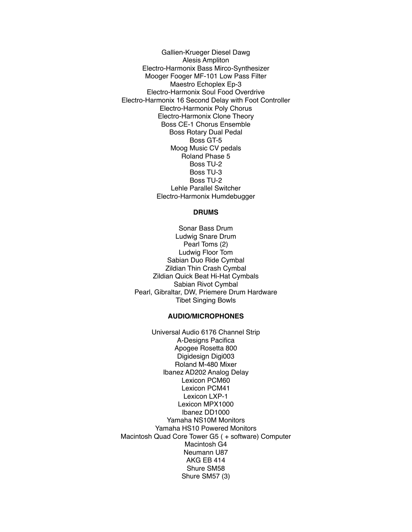Gallien-Krueger Diesel Dawg Alesis Ampliton Electro-Harmonix Bass Mirco-Synthesizer Mooger Fooger MF-101 Low Pass Filter Maestro Echoplex Ep-3 Electro-Harmonix Soul Food Overdrive Electro-Harmonix 16 Second Delay with Foot Controller Electro-Harmonix Poly Chorus Electro-Harmonix Clone Theory Boss CE-1 Chorus Ensemble Boss Rotary Dual Pedal Boss GT-5 Moog Music CV pedals Roland Phase 5 Boss TU-2 Boss TU-3 Boss TU-2 Lehle Parallel Switcher Electro-Harmonix Humdebugger

## **DRUMS**

Sonar Bass Drum Ludwig Snare Drum Pearl Toms (2) Ludwig Floor Tom Sabian Duo Ride Cymbal Zildian Thin Crash Cymbal Zildian Quick Beat Hi-Hat Cymbals Sabian Rivot Cymbal Pearl, Gibraltar, DW, Priemere Drum Hardware Tibet Singing Bowls

#### **AUDIO/MICROPHONES**

Universal Audio 6176 Channel Strip A-Designs Pacifica Apogee Rosetta 800 Digidesign Digi003 Roland M-480 Mixer Ibanez AD202 Analog Delay Lexicon PCM60 Lexicon PCM41 Lexicon LXP-1 Lexicon MPX1000 Ibanez DD1000 Yamaha NS10M Monitors Yamaha HS10 Powered Monitors Macintosh Quad Core Tower G5 ( + software) Computer Macintosh G4 Neumann U87 AKG EB 414 Shure SM58 Shure SM57 (3)